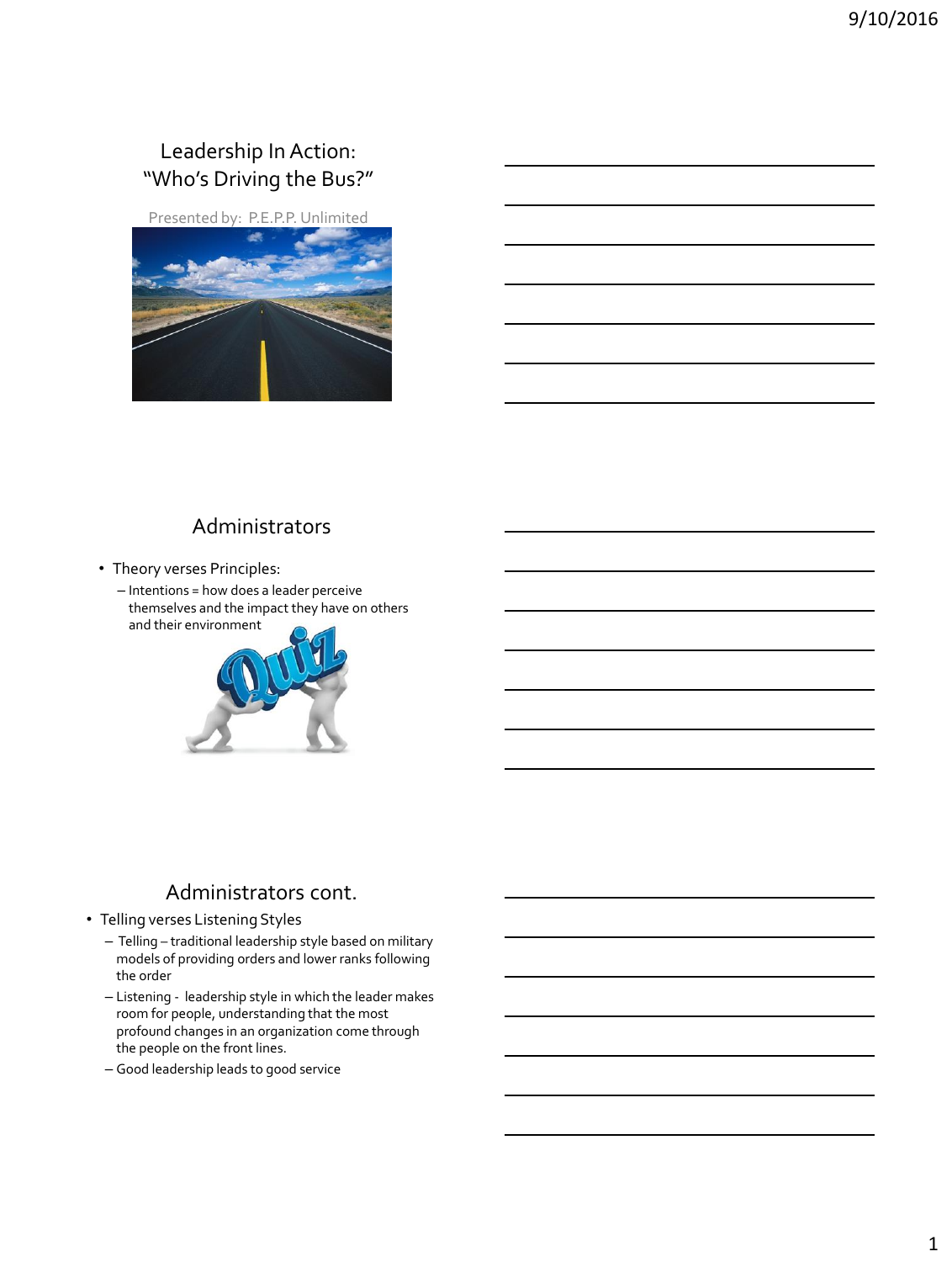## Leadership In Action: "Who's Driving the Bus?"

[Presented by: P.E.P.P. Unlimited](http://www.google.com/url?sa=i&rct=j&q=&esrc=s&source=images&cd=&cad=rja&uact=8&ved=0ahUKEwi2kfDk85DLAhWJjz4KHdwtCXsQjRwIBw&url=http://fullhdpictures.com/road-wallpapers.html/nice-road-wallpapers&psig=AFQjCNHoYqKcXQ5zTZXiR46gXANB-TXwLA&ust=1456420592990758)



## Administrators

- Theory verses Principles:
	- Intentions = how does a leader perceive themselves and the impact they have on others and thei[r environment](https://www.google.com/url?sa=i&rct=j&q=&esrc=s&source=images&cd=&cad=rja&uact=8&ved=0ahUKEwiq9KPQp6fLAhWMez4KHdMjBRQQjRwIBw&url=https://clearwatercompliance.com/hipaa-hitech-news/hipaa-and-it-security/hipaa-security-risk-analysis-tips-take-risk-analysis-quiz/&psig=AFQjCNGChxAWdFUGWJgn_zDYFf5IE3tDkw&ust=1457190425232285)



## Administrators cont.

- Telling verses Listening Styles
	- Telling traditional leadership style based on military models of providing orders and lower ranks following the order
	- Listening leadership style in which the leader makes room for people, understanding that the most profound changes in an organization come through the people on the front lines.
	- Good leadership leads to good service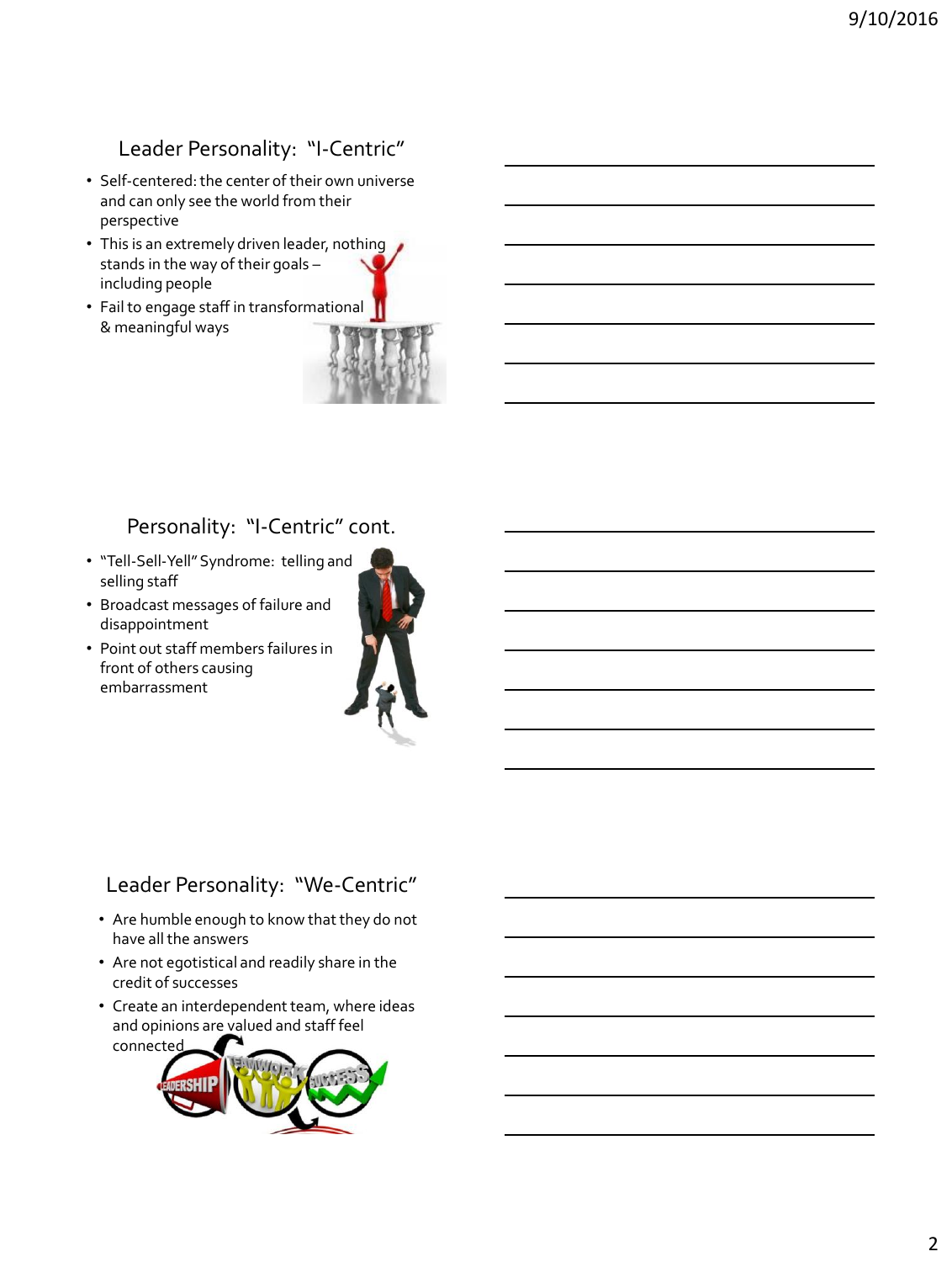## Leader Personality: "I-Centric"

- Self-centered: the center of their own universe and can only see the world from their perspective
- This is an extremely driven leader, nothing stands in the way of their goals – including people
- Fail to engage staff in transformational & meaningful ways



### Personality: "I-Centric" cont.

- "Tell-Sell-Yell" Syndrome: telling a[nd](https://www.google.com/url?sa=i&rct=j&q=&esrc=s&source=images&cd=&cad=rja&uact=8&ved=0ahUKEwjNhJDtvMbOAhUKxCYKHdMpB70QjRwIBw&url=https://www.linkedin.com/pulse/20140204184838-10810077-watching-out-for-toxic-leadership-in-your-organization&bvm=bv.129759880,d.eWE&psig=AFQjCNFmTJT8aifD7O5cObqPJka3-reHWg&ust=1471455424388336)  selling staff
- Broadcast messages of failure and disappointment
- Point out staff members failures in front of others causing embarrassment



## Leader Personality: "We-Centric"

- Are humble enough to know that they do not have all the answers
- Are not egotistical and readily share in the credit of successes
- Create an interdependent team, where ideas and opinions are valued and staff feel conne[cted](http://www.google.com/url?sa=i&rct=j&q=&esrc=s&source=images&cd=&cad=rja&uact=8&ved=0ahUKEwiIw7bD2MjOAhVB4yYKHY_6C1YQjRwIBw&url=http://pptgeeks.com/PowerPoint-Templates/product/leadership_and_teamwork_people_powerpoint_background_and_template_1210.html&bvm=bv.129759880,d.eWE&psig=AFQjCNFdS1HaAy2_72Dfc6BsMu8xJhsc_A&ust=1471531582692732)

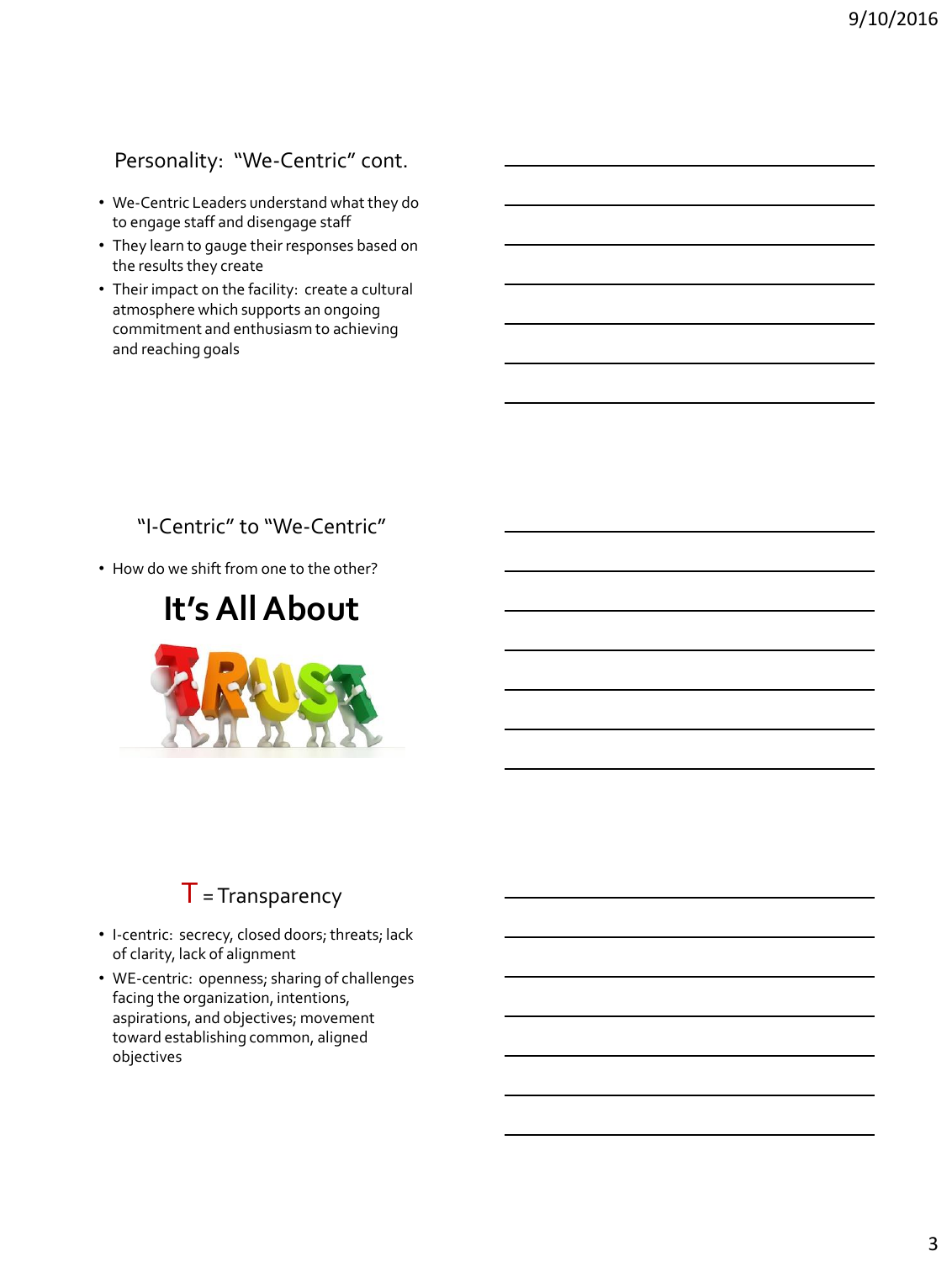## Personality: "We-Centric" cont.

- We-Centric Leaders understand what they do to engage staff and disengage staff
- They learn to gauge their responses based on the results they create
- Their impact on the facility: create a cultural atmosphere which supports an ongoing commitment and enthusiasm to achieving and reaching goals

## "I-Centric" to "We-Centric"

• How do we shift from one to the other?

# **It's All About**



## $T =$ Transparency

- I-centric: secrecy, closed doors; threats; lack of clarity, lack of alignment
- WE-centric: openness; sharing of challenges facing the organization, intentions, aspirations, and objectives; movement toward establishing common, aligned objectives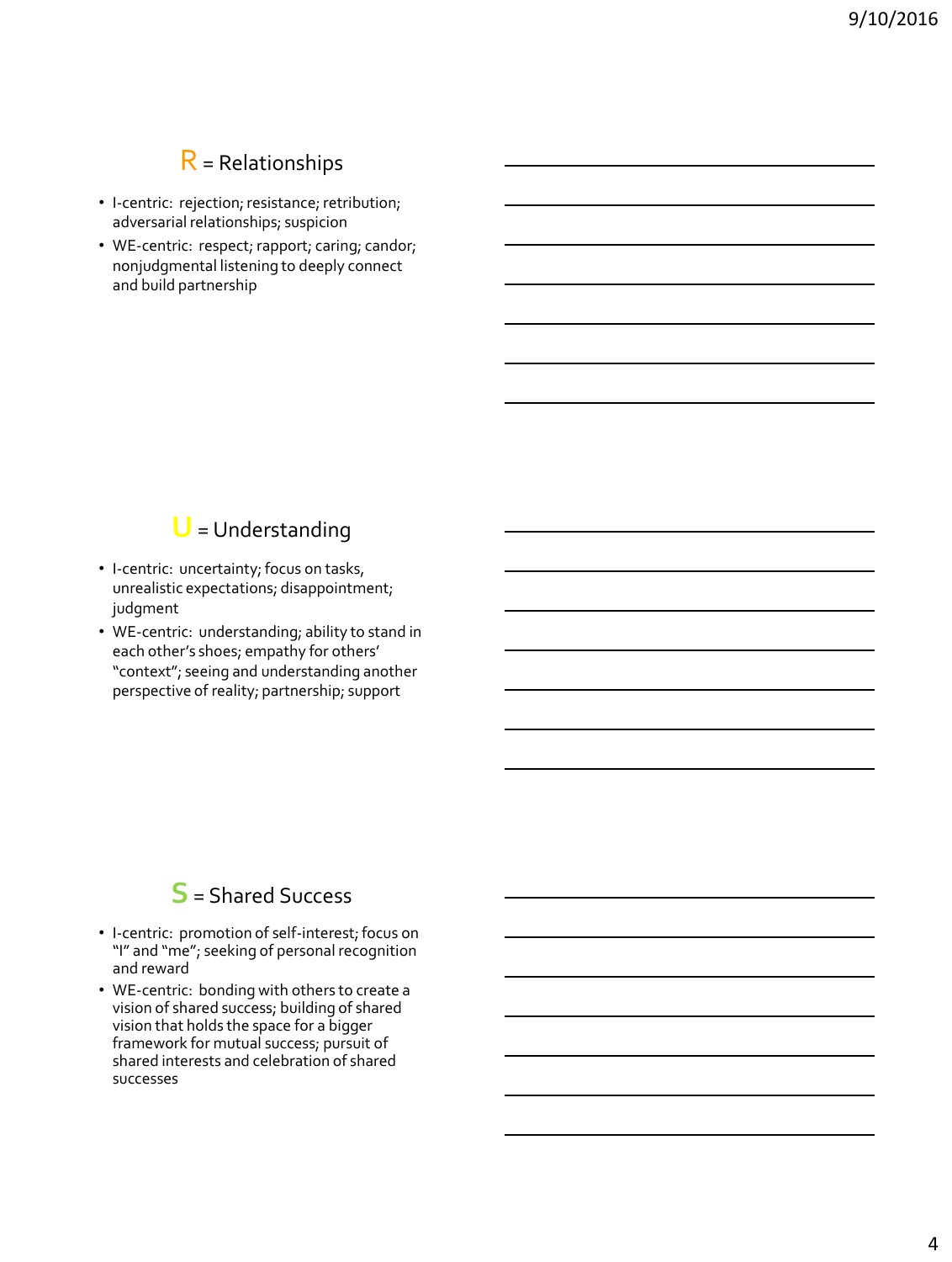## R= Relationships

- I-centric: rejection; resistance; retribution; adversarial relationships; suspicion
- WE-centric: respect; rapport; caring; candor; nonjudgmental listening to deeply connect and build partnership

## **U** = Understanding

- I-centric: uncertainty; focus on tasks, unrealistic expectations; disappointment; judgment
- WE-centric: understanding; ability to stand in each other's shoes; empathy for others' "context"; seeing and understanding another perspective of reality; partnership; support

## **S** = Shared Success

- I-centric: promotion of self-interest; focus on "I" and "me"; seeking of personal recognition and reward
- WE-centric: bonding with others to create a vision of shared success; building of shared vision that holds the space for a bigger framework for mutual success; pursuit of shared interests and celebration of shared successes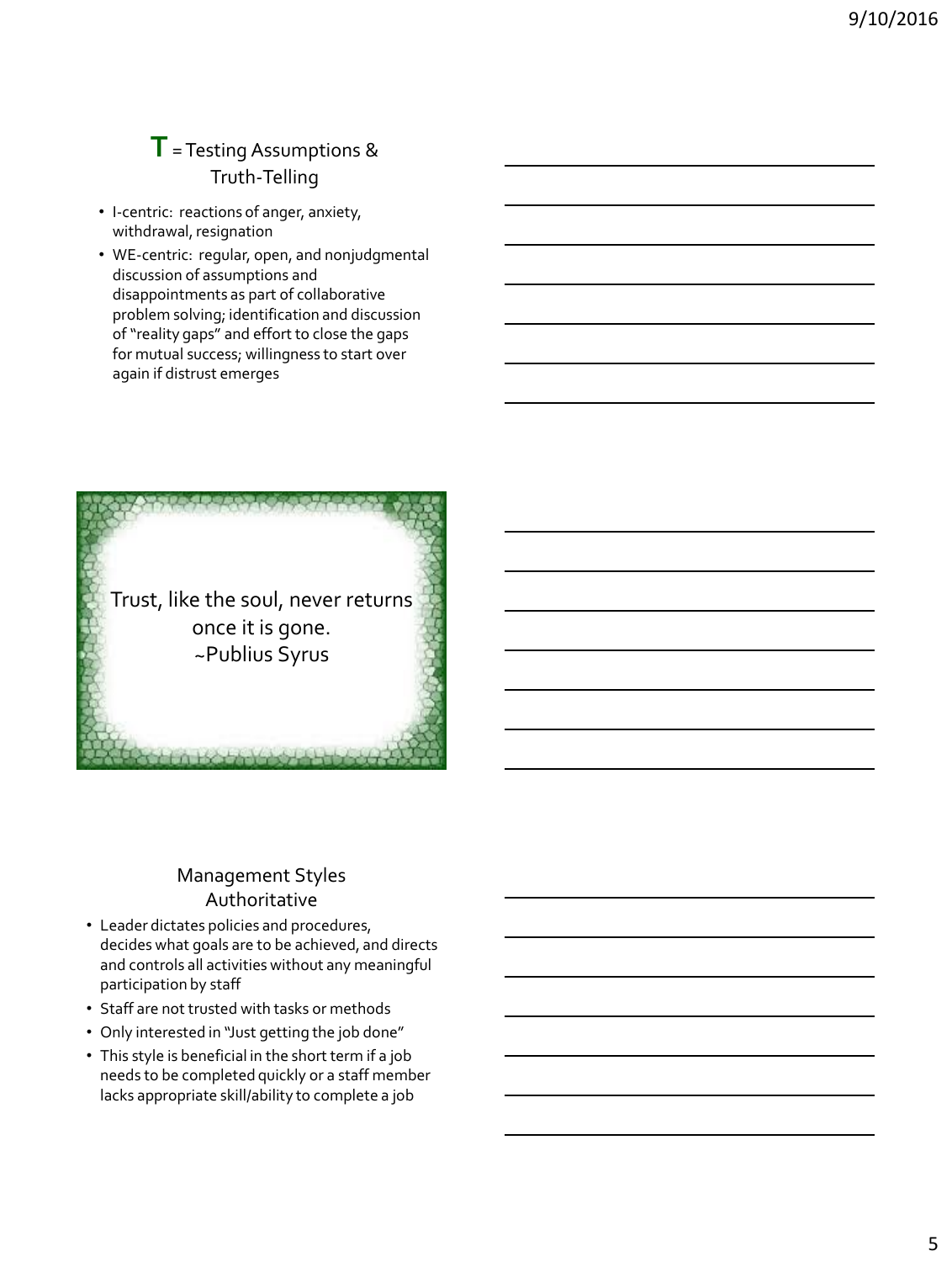## **T**= Testing Assumptions & Truth-Telling

- I-centric: reactions of anger, anxiety, withdrawal, resignation
- WE-centric: regular, open, and nonjudgmental discussion of assumptions and disappointments as part of collaborative problem solving; identification and discussion of "reality gaps" and effort to close the gaps for mutual success; willingness to start over again if distrust emerges



#### Management Styles Authoritative

- Leader dictates policies and procedures, decides what goals are to be achieved, and directs and controls all activities without any meaningful participation by staff
- Staff are not trusted with tasks or methods
- Only interested in "Just getting the job done"
- This style is beneficial in the short term if a job needs to be completed quickly or a staff member lacks appropriate skill/ability to complete a job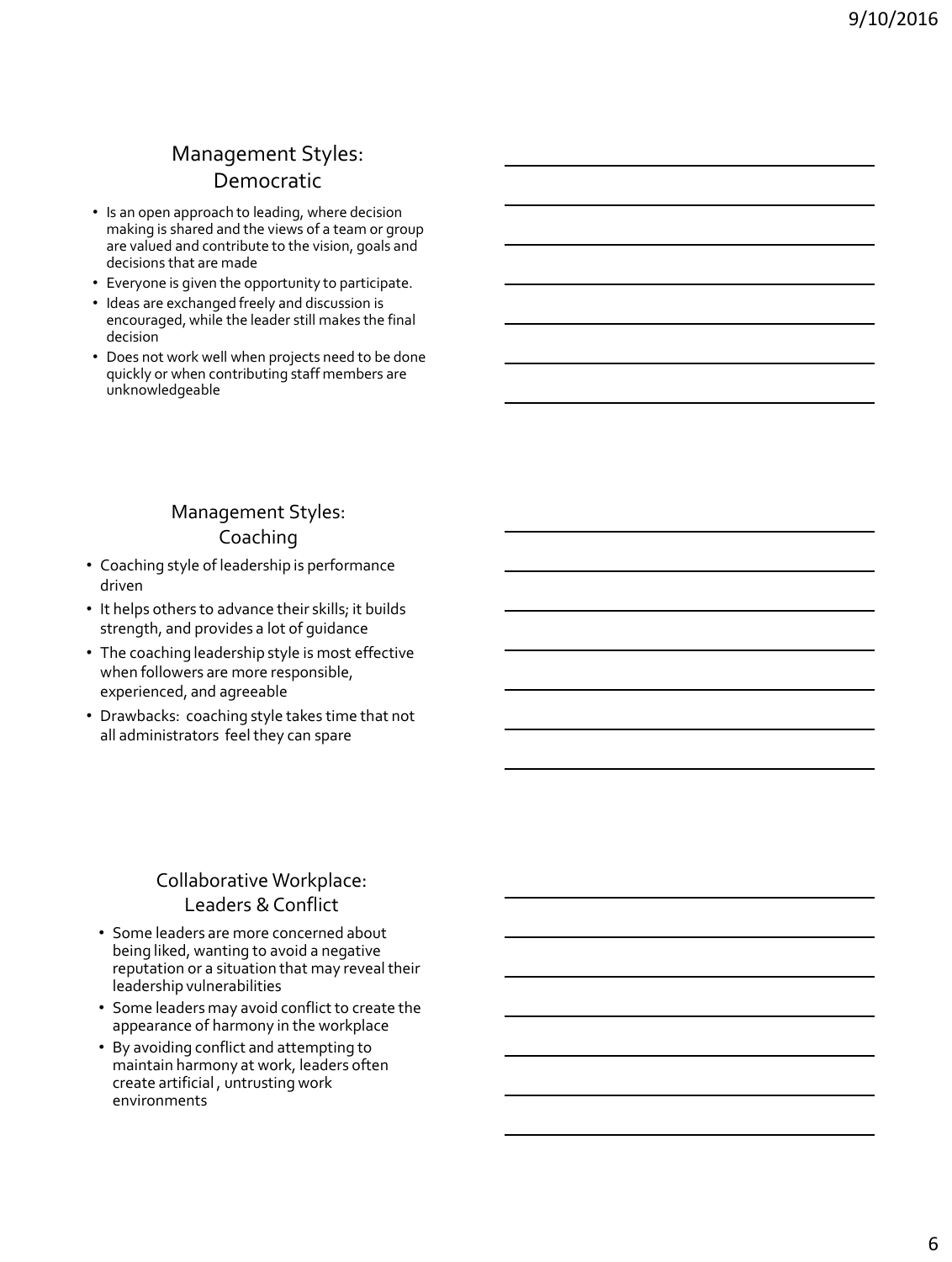## Management Styles: Democratic

- Is an open approach to leading, where decision making is shared and the views of a team or group are valued and contribute to the vision, goals and decisions that are made
- Everyone is given the opportunity to participate.
- Ideas are exchanged freely and discussion is encouraged, while the leader still makes the final decision
- Does not work well when projects need to be done quickly or when contributing staff members are unknowledgeable

## Management Styles: Coaching

- Coaching style of leadership is performance driven
- It helps others to advance their skills; it builds strength, and provides a lot of guidance
- The coaching leadership style is most effective when followers are more responsible, experienced, and agreeable
- Drawbacks: coaching style takes time that not all administrators feel they can spare

### Collaborative Workplace: Leaders & Conflict

- Some leaders are more concerned about being liked, wanting to avoid a negative reputation or a situation that may reveal their leadership vulnerabilities
- Some leaders may avoid conflict to create the appearance of harmony in the workplace
- By avoiding conflict and attempting to maintain harmony at work, leaders often create artificial , untrusting work environments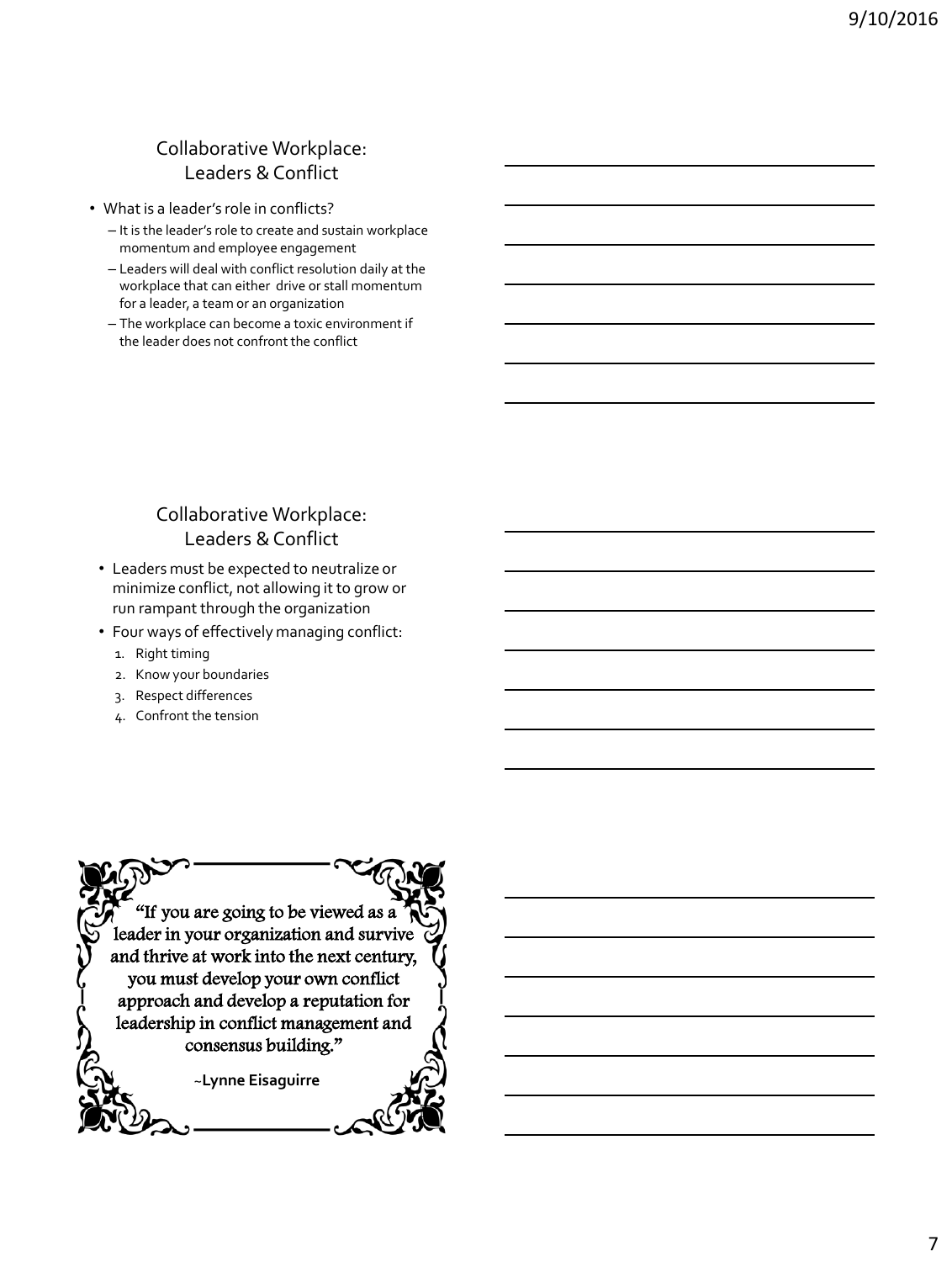#### Collaborative Workplace: Leaders & Conflict

- What is a leader's role in conflicts?
	- It is the leader's role to create and sustain workplace momentum and employee engagement
	- Leaders will deal with conflict resolution daily at the workplace that can either drive or stall momentum for a leader, a team or an organization
	- The workplace can become a toxic environment if the leader does not confront the conflict

## Collaborative Workplace: Leaders & Conflict

- Leaders must be expected to neutralize or minimize conflict, not allowing it to grow or run rampant through the organization
- Four ways of effectively managing conflict:
	- 1. Right timing
	- 2. Know your boundaries
	- 3. Respect differences
	- 4. Confront the tension

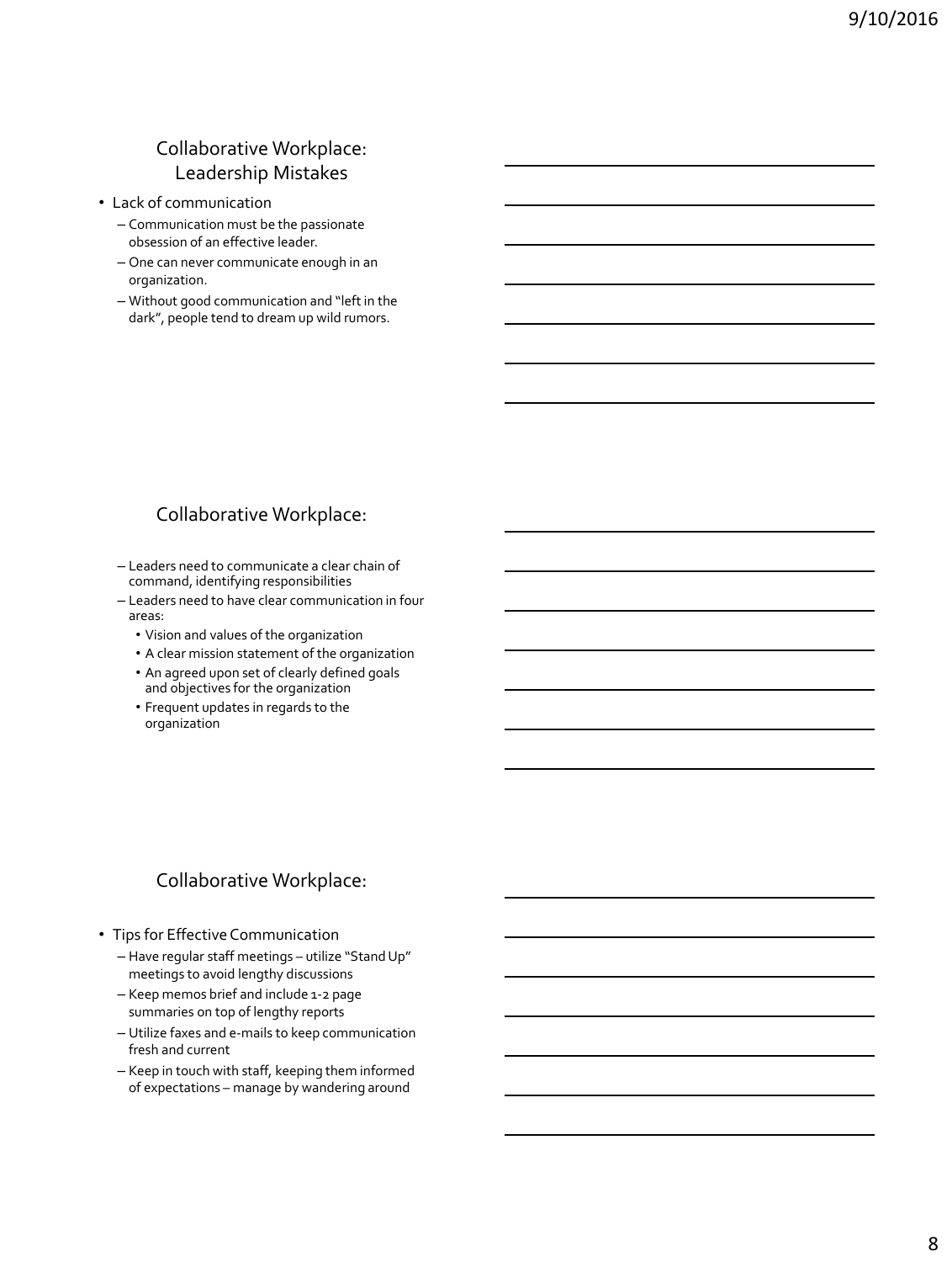#### Collaborative Workplace: Leadership Mistakes

- Lack of communication
	- Communication must be the passionate obsession of an effective leader.
	- One can never communicate enough in an organization.
	- Without good communication and "left in the dark", people tend to dream up wild rumors.

#### Collaborative Workplace:

– Leaders need to communicate a clear chain of command, identifying responsibilities

- Leaders need to have clear communication in four areas:
	- Vision and values of the organization
	- A clear mission statement of the organization
	- An agreed upon set of clearly defined goals and objectives for the organization
	- Frequent updates in regards to the organization

### Collaborative Workplace:

- Tips for Effective Communication
	- Have regular staff meetings utilize "Stand Up" meetings to avoid lengthy discussions
	- Keep memos brief and include 1-2 page summaries on top of lengthy reports
	- Utilize faxes and e-mails to keep communication fresh and current
	- Keep in touch with staff, keeping them informed of expectations – manage by wandering around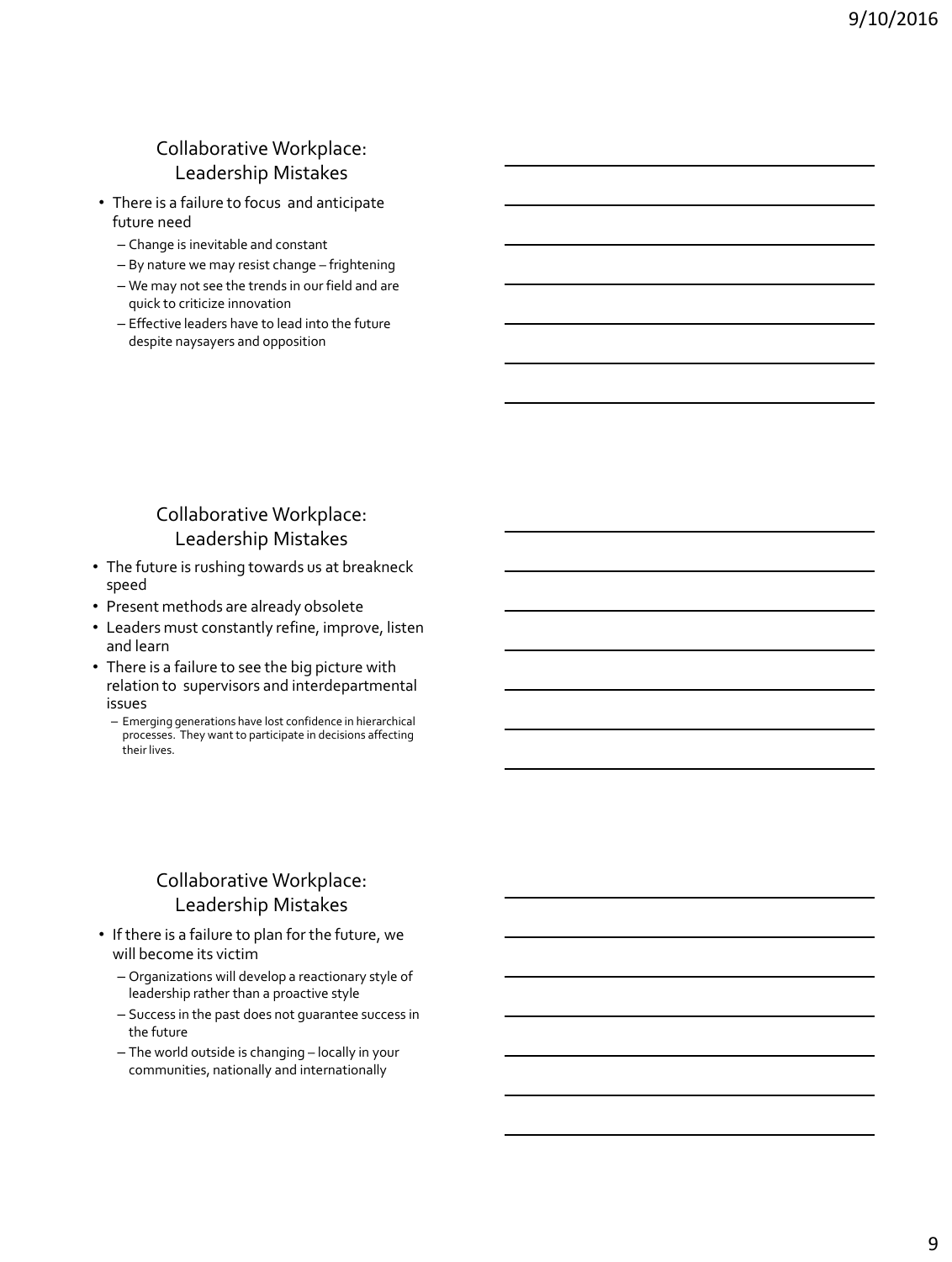#### Collaborative Workplace: Leadership Mistakes

- There is a failure to focus and anticipate future need
	- Change is inevitable and constant
	- By nature we may resist change frightening
	- We may not see the trends in our field and are quick to criticize innovation
	- Effective leaders have to lead into the future despite naysayers and opposition

#### Collaborative Workplace: Leadership Mistakes

- The future is rushing towards us at breakneck speed
- Present methods are already obsolete
- Leaders must constantly refine, improve, listen and learn
- There is a failure to see the big picture with relation to supervisors and interdepartmental issues
	- Emerging generations have lost confidence in hierarchical processes. They want to participate in decisions affecting their lives.

### Collaborative Workplace: Leadership Mistakes

- If there is a failure to plan for the future, we will become its victim
	- Organizations will develop a reactionary style of leadership rather than a proactive style
	- Success in the past does not guarantee success in the future
	- The world outside is changing locally in your communities, nationally and internationally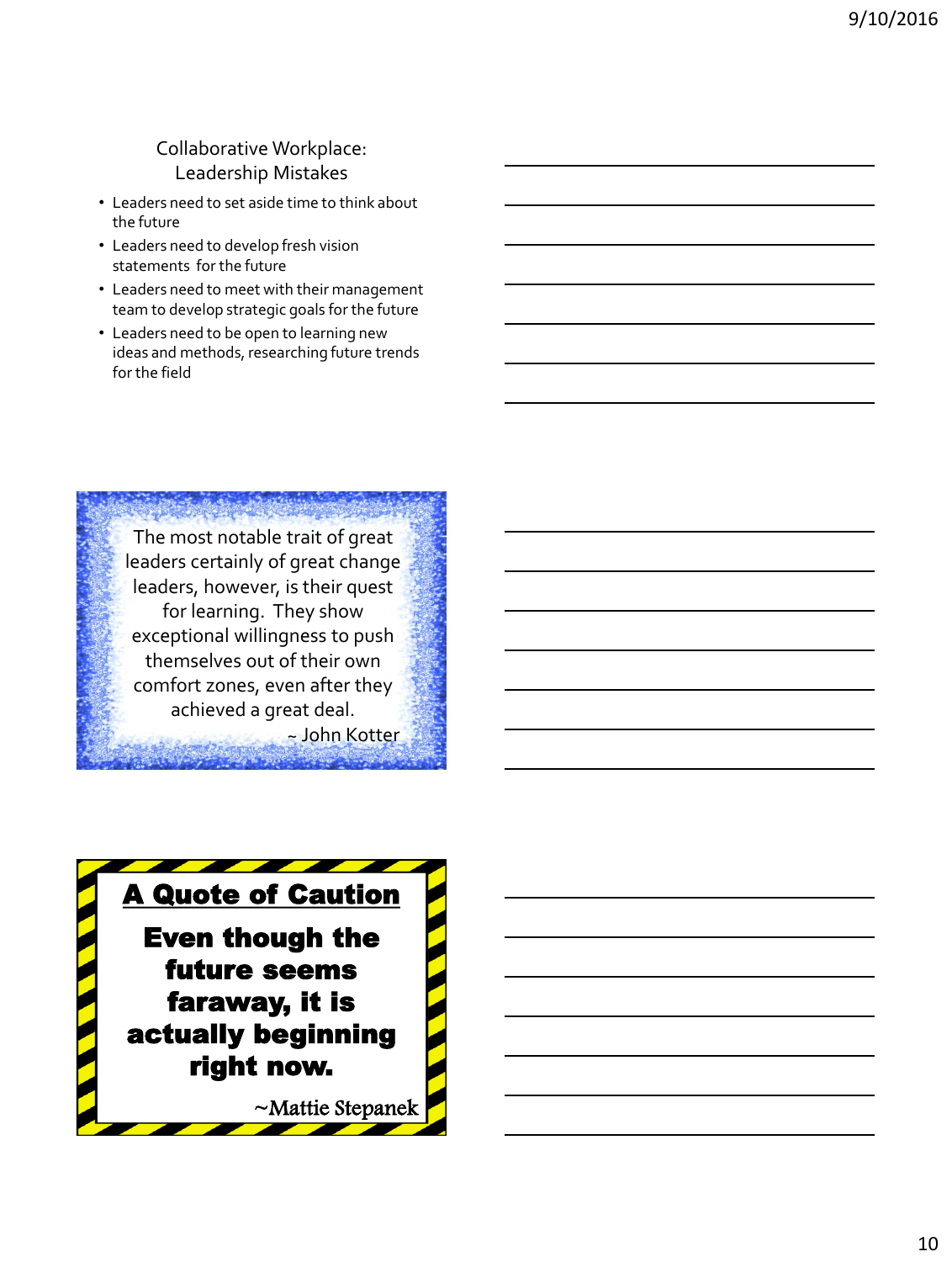#### Collaborative Workplace: Leadership Mistakes

- Leaders need to set aside time to think about the future
- Leaders need to develop fresh vision statements for the future
- Leaders need to meet with their management team to develop strategic goals for the future
- Leaders need to be open to learning new ideas and methods, researching future trends for the field



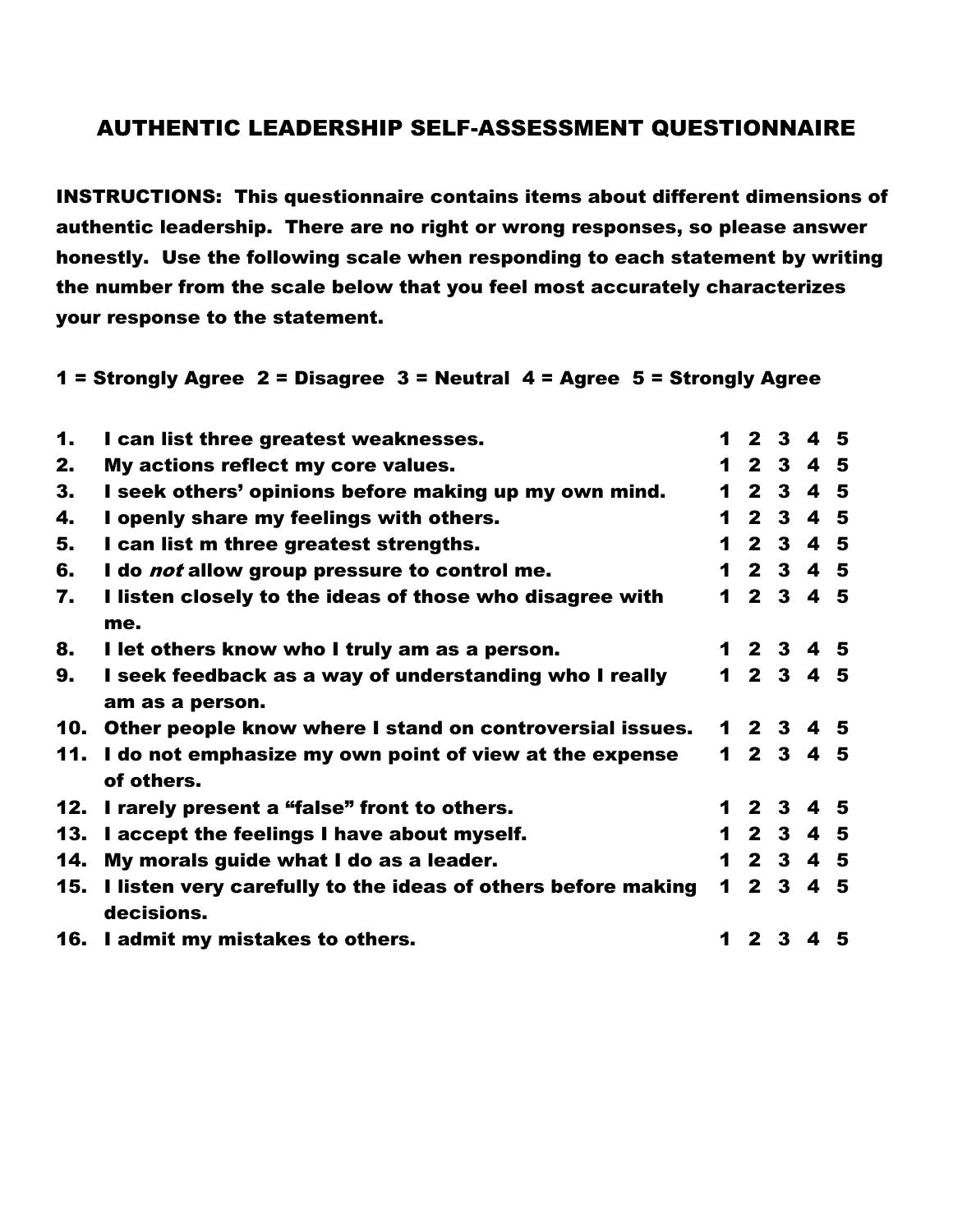## AUTHENTIC LEADERSHIP SELF-ASSESSMENT QUESTIONNAIRE

INSTRUCTIONS: This questionnaire contains items about different dimensions of authentic leadership. There are no right or wrong responses, so please answer honestly. Use the following scale when responding to each statement by writing the number from the scale below that you feel most accurately characterizes your response to the statement.

#### 1 = Strongly Agree 2 = Disagree 3 = Neutral 4 = Agree 5 = Strongly Agree

| $\mathbf 1$ | I can list three greatest weaknesses.                                          |   | 12345     |         |  |
|-------------|--------------------------------------------------------------------------------|---|-----------|---------|--|
| 2.          | My actions reflect my core values.                                             |   | 12345     |         |  |
| 3.          | I seek others' opinions before making up my own mind.                          | 1 |           | 2 3 4 5 |  |
| 4.          | I openly share my feelings with others.                                        | 1 |           | 2 3 4 5 |  |
| 5.          | I can list m three greatest strengths.                                         |   | 12345     |         |  |
| 6.          | I do <i>not</i> allow group pressure to control me.                            |   | 1 2 3 4 5 |         |  |
| 7.          | I listen closely to the ideas of those who disagree with<br>me.                |   | 1 2 3 4 5 |         |  |
| 8.          | I let others know who I truly am as a person.                                  |   | 1 2 3 4 5 |         |  |
| 9.          | I seek feedback as a way of understanding who I really                         |   | 1 2 3 4 5 |         |  |
|             | am as a person.                                                                |   |           |         |  |
| 10.         | Other people know where I stand on controversial issues.                       |   | 1 2 3 4 5 |         |  |
|             | 11. I do not emphasize my own point of view at the expense<br>of others.       |   | 12345     |         |  |
|             | 12. I rarely present a "false" front to others.                                |   | 1 2 3 4 5 |         |  |
|             | 13. I accept the feelings I have about myself.                                 |   | 1 2 3 4 5 |         |  |
| 14.         | My morals guide what I do as a leader.                                         |   | 12345     |         |  |
|             | 15. I listen very carefully to the ideas of others before making<br>decisions. |   | 1 2 3 4 5 |         |  |
|             | 16. I admit my mistakes to others.                                             | 1 |           | 2 3 4 5 |  |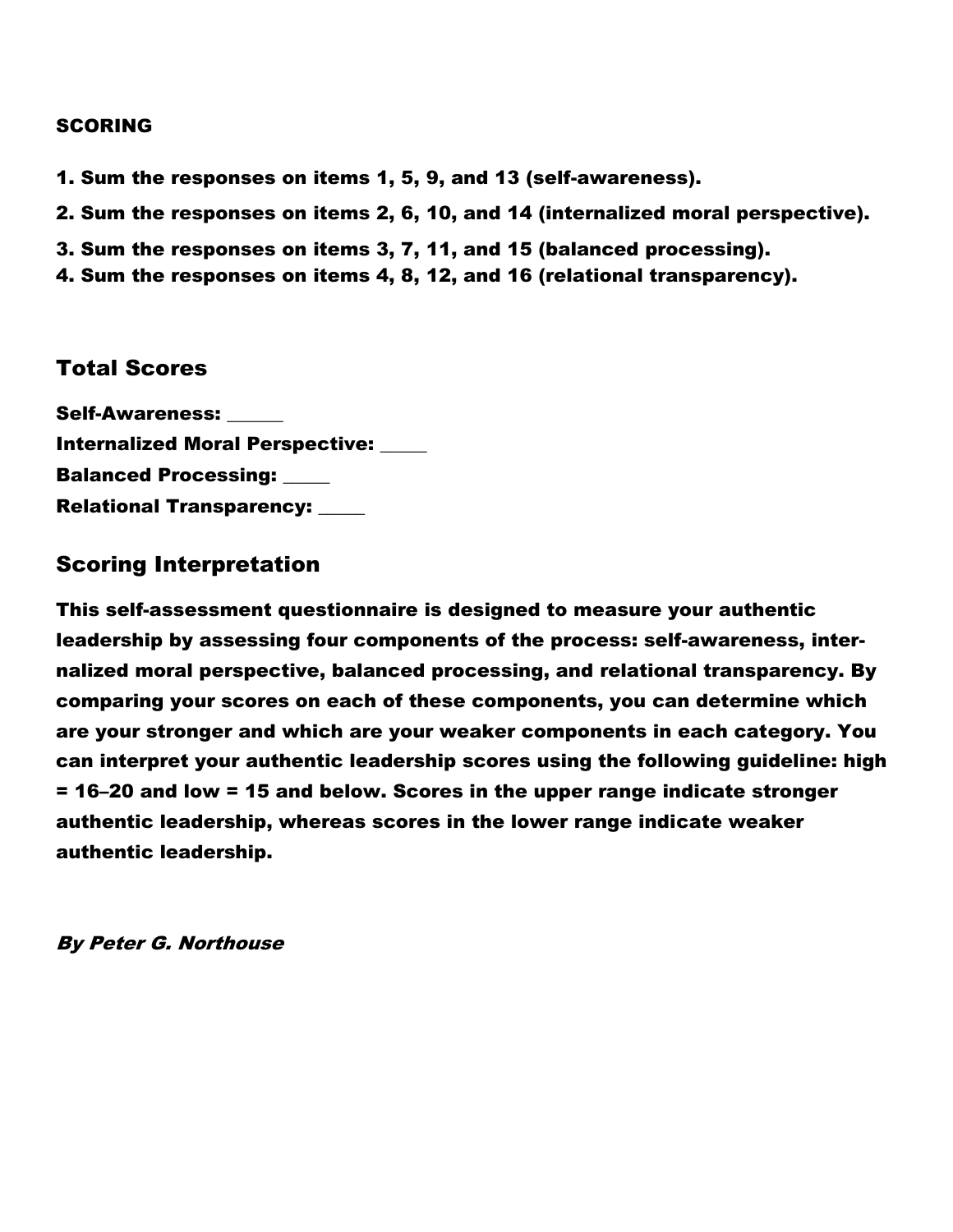#### SCORING

- 1. Sum the responses on items 1, 5, 9, and 13 (self-awareness).
- 2. Sum the responses on items 2, 6, 10, and 14 (internalized moral perspective).
- 3. Sum the responses on items 3, 7, 11, and 15 (balanced processing).
- 4. Sum the responses on items 4, 8, 12, and 16 (relational transparency).

## Total Scores

Self-Awareness: \_\_\_\_\_\_ Internalized Moral Perspective: \_\_\_\_\_ **Balanced Processing: \_\_\_\_\_** Relational Transparency: \_\_\_\_\_

## Scoring Interpretation

This self-assessment questionnaire is designed to measure your authentic leadership by assessing four components of the process: self-awareness, internalized moral perspective, balanced processing, and relational transparency. By comparing your scores on each of these components, you can determine which are your stronger and which are your weaker components in each category. You can interpret your authentic leadership scores using the following guideline: high = 16–20 and low = 15 and below. Scores in the upper range indicate stronger authentic leadership, whereas scores in the lower range indicate weaker authentic leadership.

By Peter G. Northouse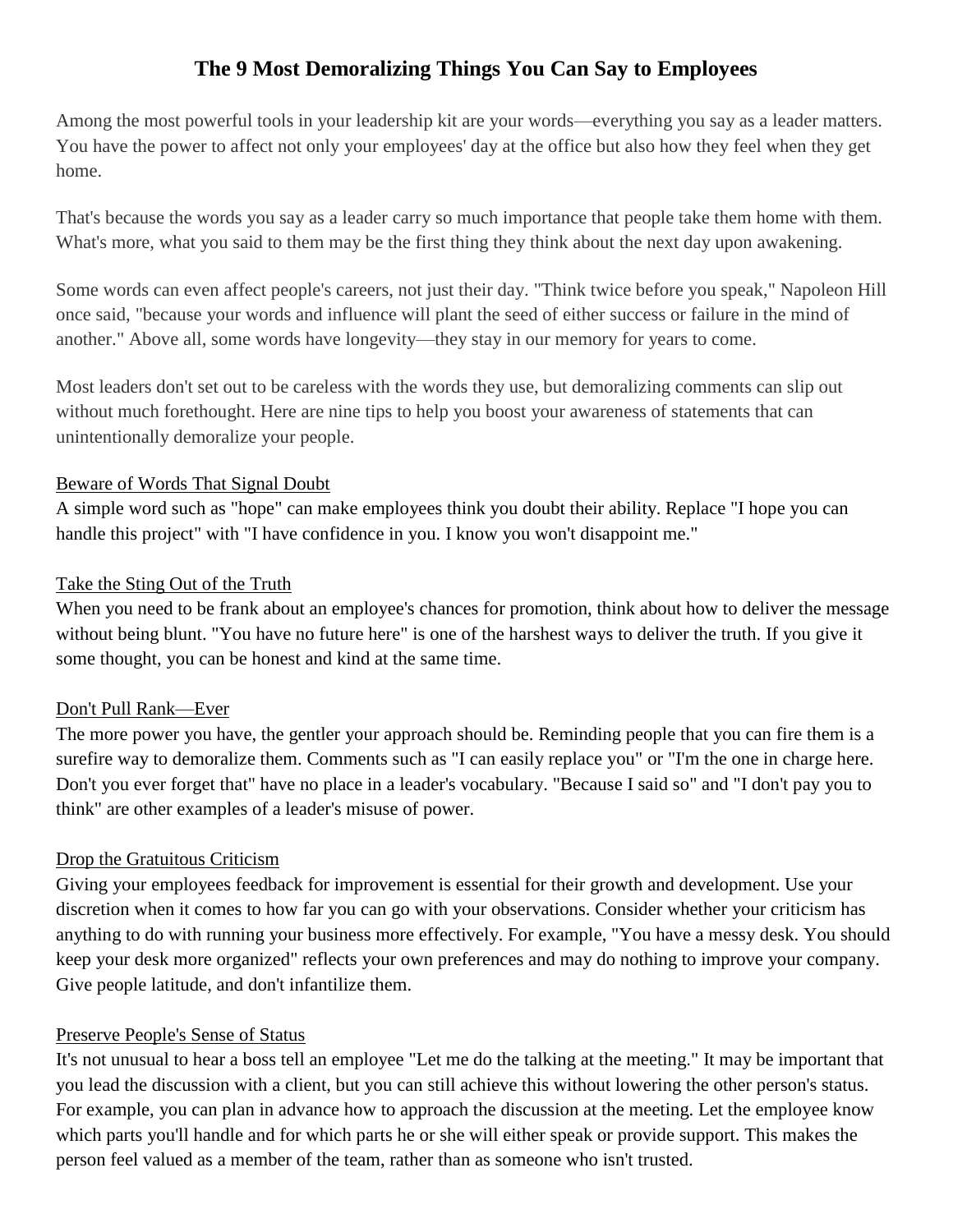## **The 9 Most Demoralizing Things You Can Say to Employees**

Among the most powerful tools in your leadership kit are your words—everything you say as a leader matters. You have the power to affect not only your employees' day at the office but also how they feel when they get home.

That's because the words you say as a leader carry so much importance that people take them home with them. What's more, what you said to them may be the first thing they think about the next day upon awakening.

Some words can even affect people's careers, not just their day. "Think twice before you speak," Napoleon Hill once said, "because your words and influence will plant the seed of either success or failure in the mind of another." Above all, some words have longevity—they stay in our memory for years to come.

Most leaders don't set out to be careless with the words they use, but demoralizing comments can slip out without much forethought. Here are nine tips to help you boost your awareness of statements that can unintentionally demoralize your people.

#### Beware of Words That Signal Doubt

A simple word such as "hope" can make employees think you doubt their ability. Replace "I hope you can handle this project" with "I have confidence in you. I know you won't disappoint me."

#### Take the Sting Out of the Truth

When you need to be frank about an employee's chances for promotion, think about how to deliver the message without being blunt. "You have no future here" is one of the harshest ways to deliver the truth. If you give it some thought, you can be honest and kind at the same time.

#### Don't Pull Rank—Ever

The more power you have, the gentler your approach should be. Reminding people that you can fire them is a surefire way to demoralize them. Comments such as "I can easily replace you" or "I'm the one in charge here. Don't you ever forget that" have no place in a leader's vocabulary. "Because I said so" and "I don't pay you to think" are other examples of a leader's misuse of power.

#### Drop the Gratuitous Criticism

Giving your employees feedback for improvement is essential for their growth and development. Use your discretion when it comes to how far you can go with your observations. Consider whether your criticism has anything to do with running your business more effectively. For example, "You have a messy desk. You should keep your desk more organized" reflects your own preferences and may do nothing to improve your company. Give people latitude, and don't infantilize them.

#### Preserve People's Sense of Status

It's not unusual to hear a boss tell an employee "Let me do the talking at the meeting." It may be important that you lead the discussion with a client, but you can still achieve this without lowering the other person's status. For example, you can plan in advance how to approach the discussion at the meeting. Let the employee know which parts you'll handle and for which parts he or she will either speak or provide support. This makes the person feel valued as a member of the team, rather than as someone who isn't trusted.